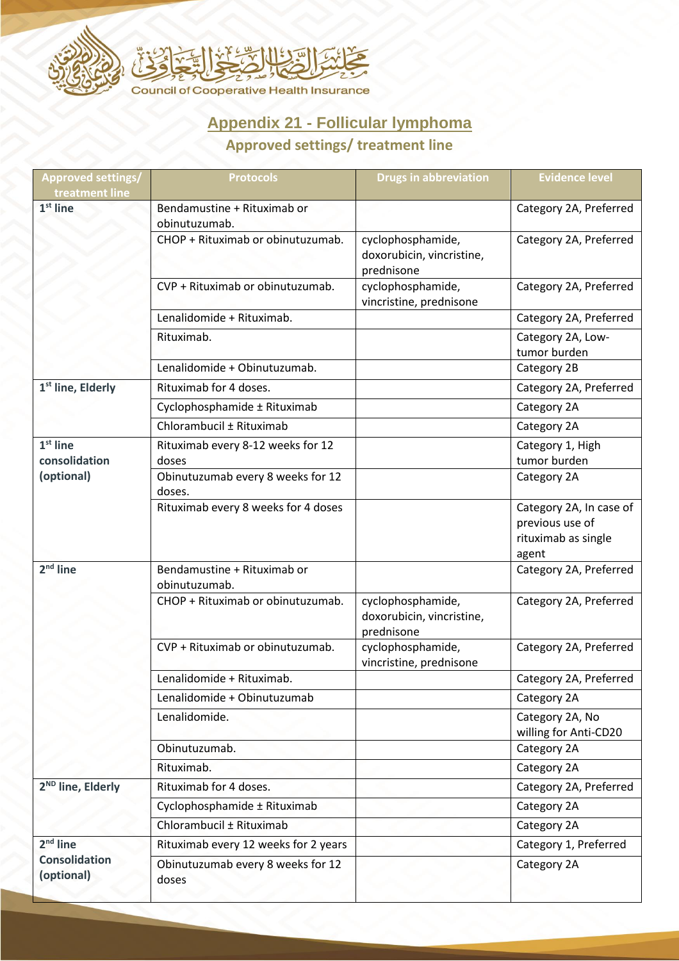

## **Appendix 21 - Follicular lymphoma**

## **Approved settings/ treatment line**

| <b>Approved settings/</b><br>treatment line      | <b>Protocols</b>                             | <b>Drugs in abbreviation</b>                                 | <b>Evidence level</b>                                                      |
|--------------------------------------------------|----------------------------------------------|--------------------------------------------------------------|----------------------------------------------------------------------------|
| $1st$ line                                       | Bendamustine + Rituximab or<br>obinutuzumab. |                                                              | Category 2A, Preferred                                                     |
|                                                  | CHOP + Rituximab or obinutuzumab.            | cyclophosphamide,<br>doxorubicin, vincristine,<br>prednisone | Category 2A, Preferred                                                     |
|                                                  | CVP + Rituximab or obinutuzumab.             | cyclophosphamide,<br>vincristine, prednisone                 | Category 2A, Preferred                                                     |
|                                                  | Lenalidomide + Rituximab.                    |                                                              | Category 2A, Preferred                                                     |
|                                                  | Rituximab.                                   |                                                              | Category 2A, Low-<br>tumor burden                                          |
|                                                  | Lenalidomide + Obinutuzumab.                 |                                                              | Category 2B                                                                |
| 1 <sup>st</sup> line, Elderly                    | Rituximab for 4 doses.                       |                                                              | Category 2A, Preferred                                                     |
|                                                  | Cyclophosphamide ± Rituximab                 |                                                              | Category 2A                                                                |
|                                                  | Chlorambucil ± Rituximab                     |                                                              | Category 2A                                                                |
| $1st$ line<br>consolidation<br>(optional)        | Rituximab every 8-12 weeks for 12<br>doses   |                                                              | Category 1, High<br>tumor burden                                           |
|                                                  | Obinutuzumab every 8 weeks for 12<br>doses.  |                                                              | Category 2A                                                                |
|                                                  | Rituximab every 8 weeks for 4 doses          |                                                              | Category 2A, In case of<br>previous use of<br>rituximab as single<br>agent |
| $2nd$ line                                       | Bendamustine + Rituximab or<br>obinutuzumab. |                                                              | Category 2A, Preferred                                                     |
|                                                  | CHOP + Rituximab or obinutuzumab.            | cyclophosphamide,<br>doxorubicin, vincristine,<br>prednisone | Category 2A, Preferred                                                     |
|                                                  | CVP + Rituximab or obinutuzumab.             | cyclophosphamide,<br>vincristine, prednisone                 | Category 2A, Preferred                                                     |
|                                                  | Lenalidomide + Rituximab.                    |                                                              | Category 2A, Preferred                                                     |
|                                                  | Lenalidomide + Obinutuzumab                  |                                                              | Category 2A                                                                |
|                                                  | Lenalidomide.                                |                                                              | Category 2A, No<br>willing for Anti-CD20                                   |
|                                                  | Obinutuzumab.                                |                                                              | Category 2A                                                                |
|                                                  | Rituximab.                                   |                                                              | Category 2A                                                                |
| 2 <sup>ND</sup> line, Elderly                    | Rituximab for 4 doses.                       |                                                              | Category 2A, Preferred                                                     |
|                                                  | Cyclophosphamide ± Rituximab                 |                                                              | Category 2A                                                                |
|                                                  | Chlorambucil ± Rituximab                     |                                                              | Category 2A                                                                |
| $2nd$ line<br><b>Consolidation</b><br>(optional) | Rituximab every 12 weeks for 2 years         |                                                              | Category 1, Preferred                                                      |
|                                                  | Obinutuzumab every 8 weeks for 12<br>doses   |                                                              | Category 2A                                                                |